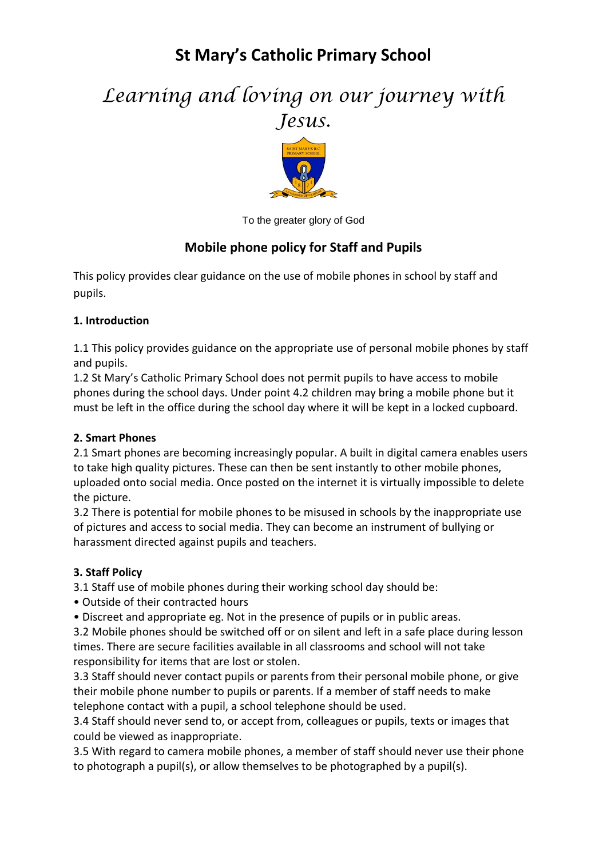## **St Mary's Catholic Primary School**

# *Learning and loving on our journey with Jesus.*



To the greater glory of God

### **Mobile phone policy for Staff and Pupils**

This policy provides clear guidance on the use of mobile phones in school by staff and pupils.

#### **1. Introduction**

1.1 This policy provides guidance on the appropriate use of personal mobile phones by staff and pupils.

1.2 St Mary's Catholic Primary School does not permit pupils to have access to mobile phones during the school days. Under point 4.2 children may bring a mobile phone but it must be left in the office during the school day where it will be kept in a locked cupboard.

#### **2. Smart Phones**

2.1 Smart phones are becoming increasingly popular. A built in digital camera enables users to take high quality pictures. These can then be sent instantly to other mobile phones, uploaded onto social media. Once posted on the internet it is virtually impossible to delete the picture.

3.2 There is potential for mobile phones to be misused in schools by the inappropriate use of pictures and access to social media. They can become an instrument of bullying or harassment directed against pupils and teachers.

#### **3. Staff Policy**

3.1 Staff use of mobile phones during their working school day should be:

- Outside of their contracted hours
- Discreet and appropriate eg. Not in the presence of pupils or in public areas.

3.2 Mobile phones should be switched off or on silent and left in a safe place during lesson times. There are secure facilities available in all classrooms and school will not take responsibility for items that are lost or stolen.

3.3 Staff should never contact pupils or parents from their personal mobile phone, or give their mobile phone number to pupils or parents. If a member of staff needs to make telephone contact with a pupil, a school telephone should be used.

3.4 Staff should never send to, or accept from, colleagues or pupils, texts or images that could be viewed as inappropriate.

3.5 With regard to camera mobile phones, a member of staff should never use their phone to photograph a pupil(s), or allow themselves to be photographed by a pupil(s).